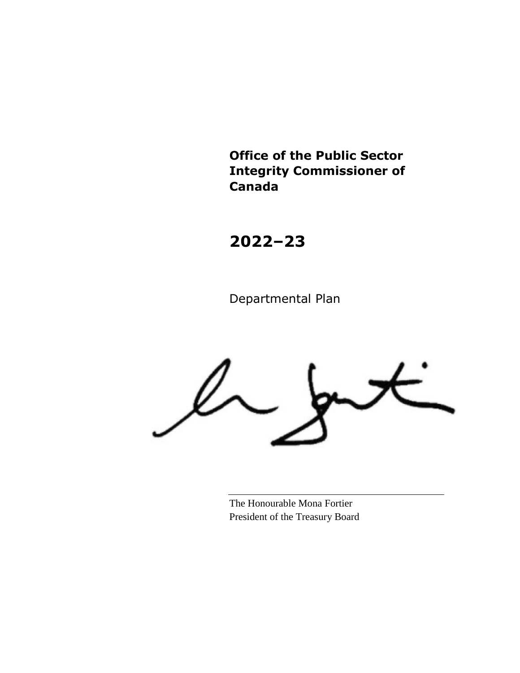**Office of the Public Sector Integrity Commissioner of Canada**

**2022–23**

Departmental Plan

The Honourable Mona Fortier President of the Treasury Board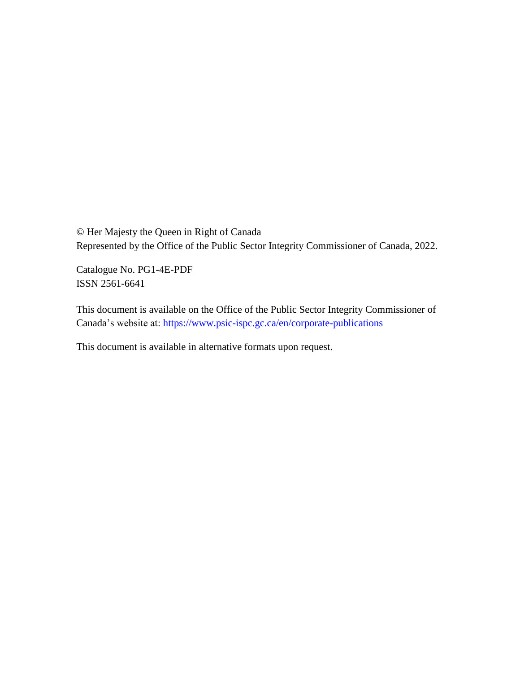© Her Majesty the Queen in Right of Canada Represented by the Office of the Public Sector Integrity Commissioner of Canada, 2022.

Catalogue No. PG1-4E-PDF ISSN 2561-6641

This document is available on the Office of the Public Sector Integrity Commissioner of Canada's website at:<https://www.psic-ispc.gc.ca/en/corporate-publications>

This document is available in alternative formats upon request.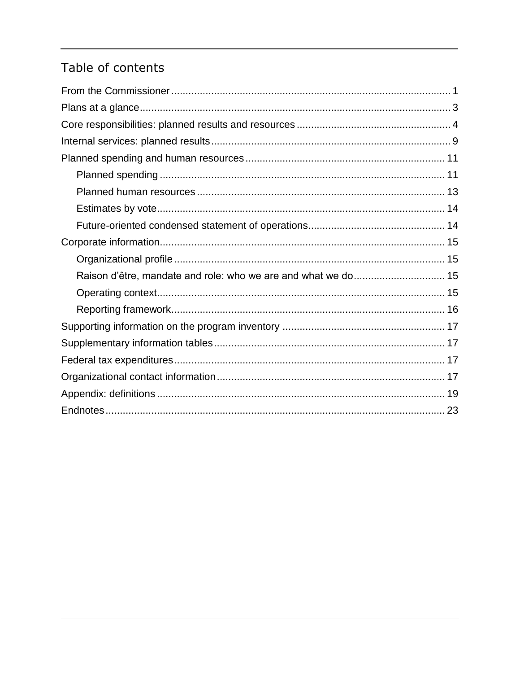# Table of contents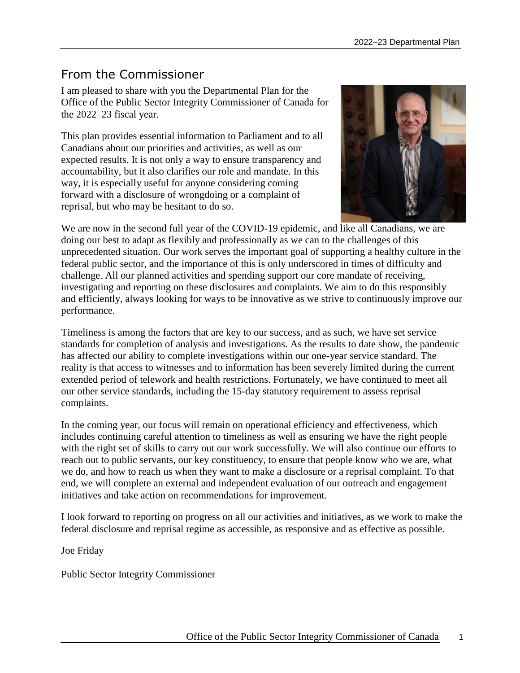# <span id="page-4-0"></span>From the Commissioner

I am pleased to share with you the Departmental Plan for the Office of the Public Sector Integrity Commissioner of Canada for the 2022–23 fiscal year.

This plan provides essential information to Parliament and to all Canadians about our priorities and activities, as well as our expected results. It is not only a way to ensure transparency and accountability, but it also clarifies our role and mandate. In this way, it is especially useful for anyone considering coming forward with a disclosure of wrongdoing or a complaint of reprisal, but who may be hesitant to do so.



We are now in the second full year of the COVID-19 epidemic, and like all Canadians, we are doing our best to adapt as flexibly and professionally as we can to the challenges of this unprecedented situation. Our work serves the important goal of supporting a healthy culture in the federal public sector, and the importance of this is only underscored in times of difficulty and challenge. All our planned activities and spending support our core mandate of receiving, investigating and reporting on these disclosures and complaints. We aim to do this responsibly and efficiently, always looking for ways to be innovative as we strive to continuously improve our performance.

Timeliness is among the factors that are key to our success, and as such, we have set service standards for completion of analysis and investigations. As the results to date show, the pandemic has affected our ability to complete investigations within our one-year service standard. The reality is that access to witnesses and to information has been severely limited during the current extended period of telework and health restrictions. Fortunately, we have continued to meet all our other service standards, including the 15-day statutory requirement to assess reprisal complaints.

In the coming year, our focus will remain on operational efficiency and effectiveness, which includes continuing careful attention to timeliness as well as ensuring we have the right people with the right set of skills to carry out our work successfully. We will also continue our efforts to reach out to public servants, our key constituency, to ensure that people know who we are, what we do, and how to reach us when they want to make a disclosure or a reprisal complaint. To that end, we will complete an external and independent evaluation of our outreach and engagement initiatives and take action on recommendations for improvement.

I look forward to reporting on progress on all our activities and initiatives, as we work to make the federal disclosure and reprisal regime as accessible, as responsive and as effective as possible.

Joe Friday

Public Sector Integrity Commissioner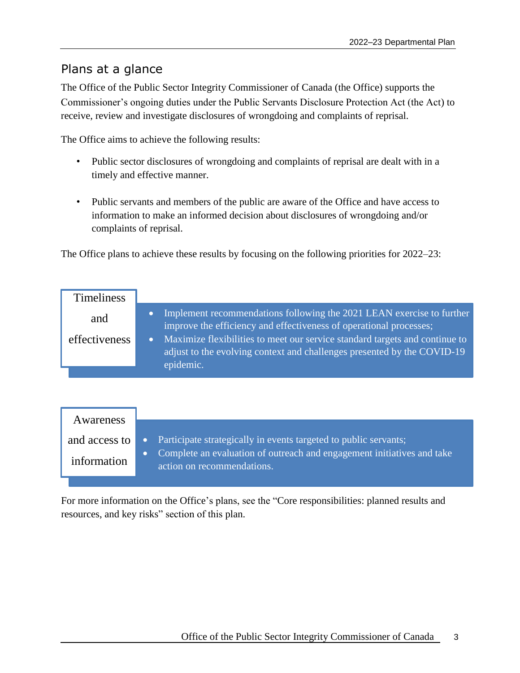## <span id="page-6-0"></span>Plans at a glance

The Office of the Public Sector Integrity Commissioner of Canada (the Office) supports the Commissioner's ongoing duties under the Public Servants Disclosure Protection Act (the Act) to receive, review and investigate disclosures of wrongdoing and complaints of reprisal.

The Office aims to achieve the following results:

- Public sector disclosures of wrongdoing and complaints of reprisal are dealt with in a timely and effective manner.
- Public servants and members of the public are aware of the Office and have access to information to make an informed decision about disclosures of wrongdoing and/or complaints of reprisal.

The Office plans to achieve these results by focusing on the following priorities for 2022–23:

| <b>Timeliness</b> |                                                                                                                                                                     |
|-------------------|---------------------------------------------------------------------------------------------------------------------------------------------------------------------|
| and               | Implement recommendations following the 2021 LEAN exercise to further<br>improve the efficiency and effectiveness of operational processes;                         |
| effectiveness     | Maximize flexibilities to meet our service standard targets and continue to<br>adjust to the evolving context and challenges presented by the COVID-19<br>epidemic. |

| Awareness                    |                                                                                                                                                                            |
|------------------------------|----------------------------------------------------------------------------------------------------------------------------------------------------------------------------|
| and access to<br>information | • Participate strategically in events targeted to public servants;<br>Complete an evaluation of outreach and engagement initiatives and take<br>action on recommendations. |
|                              |                                                                                                                                                                            |

For more information on the Office's plans, see the "Core responsibilities: planned results and resources, and key risks" section of this plan.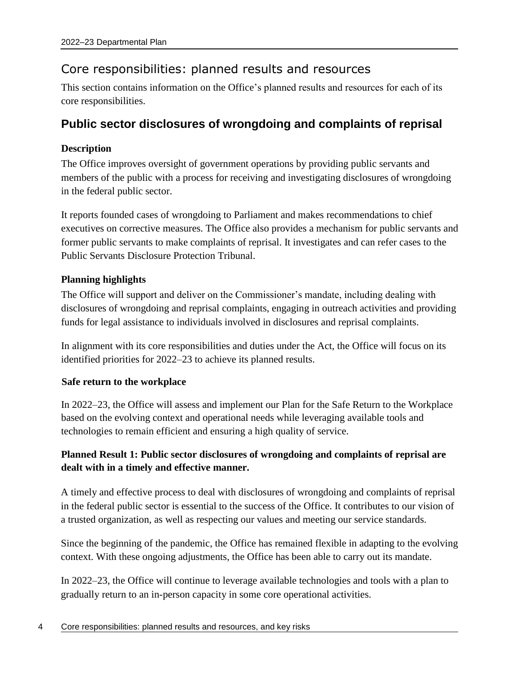## <span id="page-7-0"></span>Core responsibilities: planned results and resources

This section contains information on the Office's planned results and resources for each of its core responsibilities.

## **Public sector disclosures of wrongdoing and complaints of reprisal**

### **Description**

The Office improves oversight of government operations by providing public servants and members of the public with a process for receiving and investigating disclosures of wrongdoing in the federal public sector.

It reports founded cases of wrongdoing to Parliament and makes recommendations to chief executives on corrective measures. The Office also provides a mechanism for public servants and former public servants to make complaints of reprisal. It investigates and can refer cases to the Public Servants Disclosure Protection Tribunal.

### **Planning highlights**

The Office will support and deliver on the Commissioner's mandate, including dealing with disclosures of wrongdoing and reprisal complaints, engaging in outreach activities and providing funds for legal assistance to individuals involved in disclosures and reprisal complaints.

In alignment with its core responsibilities and duties under the Act, the Office will focus on its identified priorities for 2022–23 to achieve its planned results.

### **Safe return to the workplace**

In 2022–23, the Office will assess and implement our Plan for the Safe Return to the Workplace based on the evolving context and operational needs while leveraging available tools and technologies to remain efficient and ensuring a high quality of service.

## **Planned Result 1: Public sector disclosures of wrongdoing and complaints of reprisal are dealt with in a timely and effective manner.**

A timely and effective process to deal with disclosures of wrongdoing and complaints of reprisal in the federal public sector is essential to the success of the Office. It contributes to our vision of a trusted organization, as well as respecting our values and meeting our service standards.

Since the beginning of the pandemic, the Office has remained flexible in adapting to the evolving context. With these ongoing adjustments, the Office has been able to carry out its mandate.

In 2022–23, the Office will continue to leverage available technologies and tools with a plan to gradually return to an in-person capacity in some core operational activities.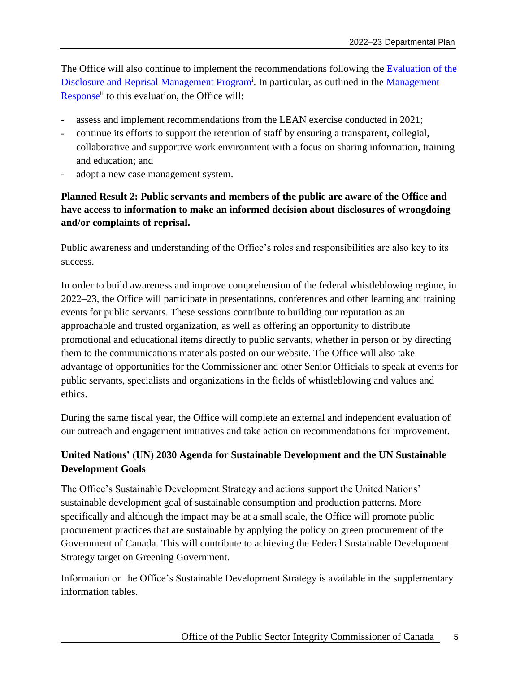The Office will also continue to implement the recommendations following the [Evaluation of the](https://www.psic-ispc.gc.ca/en/resources/corporate-publications/evaluation-disclosure-and-reprisal-management-program)  [Disclosure and Reprisal Management Program](https://www.psic-ispc.gc.ca/en/resources/corporate-publications/evaluation-disclosure-and-reprisal-management-program)<sup>i</sup>. In particular, as outlined in the Management [Response](https://www.psic-ispc.gc.ca/en/resources/corporate-publications/evaluation-disclosure-and-reprisal-management-program/response)<sup>ii</sup> to this evaluation, the Office will:

- assess and implement recommendations from the LEAN exercise conducted in 2021;
- continue its efforts to support the retention of staff by ensuring a transparent, collegial, collaborative and supportive work environment with a focus on sharing information, training and education; and
- adopt a new case management system.

## **Planned Result 2: Public servants and members of the public are aware of the Office and have access to information to make an informed decision about disclosures of wrongdoing and/or complaints of reprisal.**

Public awareness and understanding of the Office's roles and responsibilities are also key to its success.

In order to build awareness and improve comprehension of the federal whistleblowing regime, in 2022–23, the Office will participate in presentations, conferences and other learning and training events for public servants. These sessions contribute to building our reputation as an approachable and trusted organization, as well as offering an opportunity to distribute promotional and educational items directly to public servants, whether in person or by directing them to the communications materials posted on our website. The Office will also take advantage of opportunities for the Commissioner and other Senior Officials to speak at events for public servants, specialists and organizations in the fields of whistleblowing and values and ethics.

During the same fiscal year, the Office will complete an external and independent evaluation of our outreach and engagement initiatives and take action on recommendations for improvement.

## **United Nations' (UN) 2030 Agenda for Sustainable Development and the UN Sustainable Development Goals**

The Office's Sustainable Development Strategy and actions support the United Nations' sustainable development goal of sustainable consumption and production patterns. More specifically and although the impact may be at a small scale, the Office will promote public procurement practices that are sustainable by applying the policy on green procurement of the Government of Canada. This will contribute to achieving the Federal Sustainable Development Strategy target on Greening Government.

Information on the Office's Sustainable Development Strategy is available in the supplementary information tables.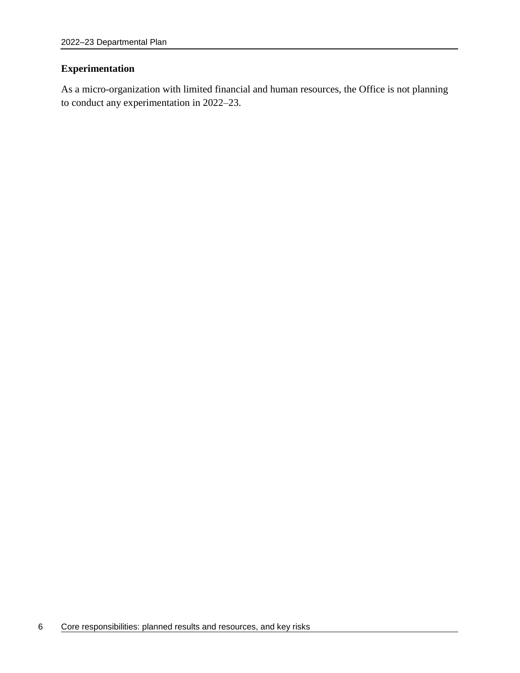### **Experimentation**

As a micro-organization with limited financial and human resources, the Office is not planning to conduct any experimentation in 2022–23.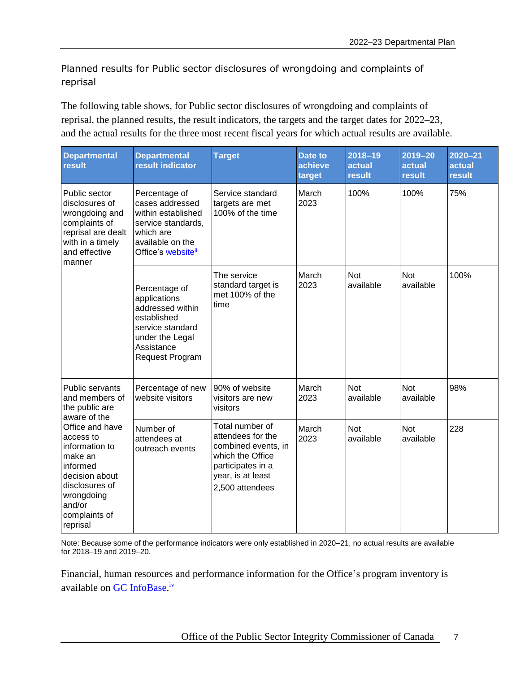Planned results for Public sector disclosures of wrongdoing and complaints of reprisal

The following table shows, for Public sector disclosures of wrongdoing and complaints of reprisal, the planned results, the result indicators, the targets and the target dates for 2022–23, and the actual results for the three most recent fiscal years for which actual results are available.

| <b>Departmental</b><br>result                                                                                                                                                  | <b>Departmental</b><br>result indicator                                                                                                  | <b>Target</b>                                                                                                                                | <b>Date to</b><br>achieve<br>target | $2018 - 19$<br>actual<br>result | $2019 - 20$<br>actual<br><b>result</b> | $2020 - 21$<br>actual<br><b>result</b> |
|--------------------------------------------------------------------------------------------------------------------------------------------------------------------------------|------------------------------------------------------------------------------------------------------------------------------------------|----------------------------------------------------------------------------------------------------------------------------------------------|-------------------------------------|---------------------------------|----------------------------------------|----------------------------------------|
| Public sector<br>disclosures of<br>wrongdoing and<br>complaints of<br>reprisal are dealt<br>with in a timely<br>and effective<br>manner                                        | Percentage of<br>cases addressed<br>within established<br>service standards,<br>which are<br>available on the<br>Office's websiteill     | Service standard<br>targets are met<br>100% of the time                                                                                      | March<br>2023                       | 100%                            | 100%                                   | 75%                                    |
|                                                                                                                                                                                | Percentage of<br>applications<br>addressed within<br>established<br>service standard<br>under the Legal<br>Assistance<br>Request Program | The service<br>standard target is<br>met 100% of the<br>time                                                                                 | March<br>2023                       | <b>Not</b><br>available         | <b>Not</b><br>available                | 100%                                   |
| Public servants<br>and members of<br>the public are                                                                                                                            | Percentage of new<br>website visitors                                                                                                    | 90% of website<br>visitors are new<br>visitors                                                                                               | March<br>2023                       | <b>Not</b><br>available         | <b>Not</b><br>available                | 98%                                    |
| aware of the<br>Office and have<br>access to<br>information to<br>make an<br>informed<br>decision about<br>disclosures of<br>wrongdoing<br>and/or<br>complaints of<br>reprisal | Number of<br>attendees at<br>outreach events                                                                                             | Total number of<br>attendees for the<br>combined events, in<br>which the Office<br>participates in a<br>year, is at least<br>2,500 attendees | March<br>2023                       | <b>Not</b><br>available         | <b>Not</b><br>available                | 228                                    |

Note: Because some of the performance indicators were only established in 2020–21, no actual results are available for 2018–19 and 2019–20.

Financial, human resources and performance information for the Office's program inventory is available on [GC InfoBase.](https://www.tbs-sct.gc.ca/ems-sgd/edb-bdd/index-eng.html)<sup>iv</sup>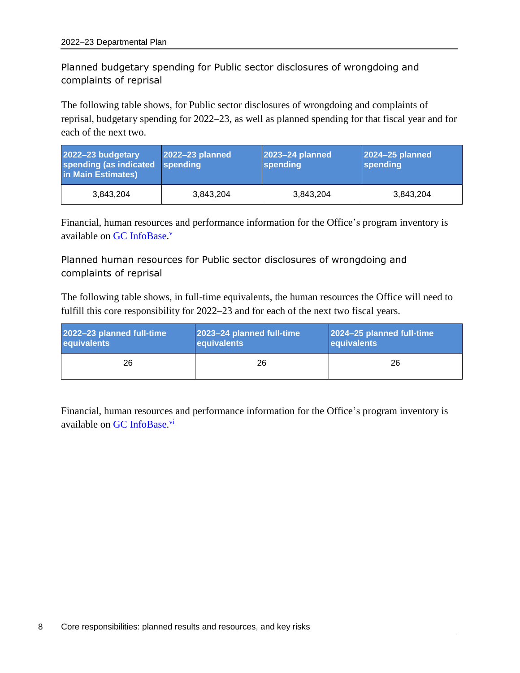## Planned budgetary spending for Public sector disclosures of wrongdoing and complaints of reprisal

The following table shows, for Public sector disclosures of wrongdoing and complaints of reprisal, budgetary spending for 2022–23, as well as planned spending for that fiscal year and for each of the next two.

| 2022-23 budgetary<br>spending (as indicated<br>in Main Estimates) | 2022-23 planned<br>spending | 2023-24 planned<br>spending | 2024-25 planned<br>spending |
|-------------------------------------------------------------------|-----------------------------|-----------------------------|-----------------------------|
| 3.843.204                                                         | 3.843.204                   | 3,843,204                   | 3,843,204                   |

Financial, human resources and performance information for the Office's program inventory is available on [GC InfoBase.](https://www.tbs-sct.gc.ca/ems-sgd/edb-bdd/index-eng.html)<sup>v</sup>

### Planned human resources for Public sector disclosures of wrongdoing and complaints of reprisal

The following table shows, in full-time equivalents, the human resources the Office will need to fulfill this core responsibility for 2022–23 and for each of the next two fiscal years.

| 2022-23 planned full-time | 2023-24 planned full-time | 2024-25 planned full-time |
|---------------------------|---------------------------|---------------------------|
| equivalents               | equivalents               | equivalents               |
| 26                        | 26                        | 26                        |

Financial, human resources and performance information for the Office's program inventory is available on [GC InfoBase.](https://www.tbs-sct.gc.ca/ems-sgd/edb-bdd/index-eng.html)<sup>vi</sup>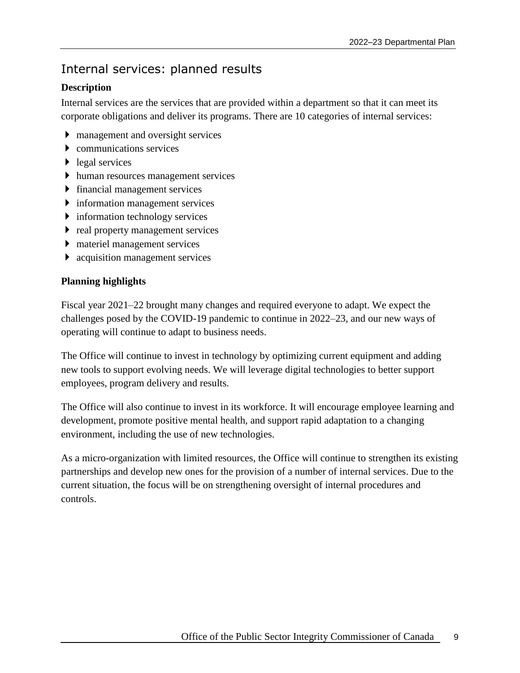# <span id="page-12-0"></span>Internal services: planned results

## **Description**

Internal services are the services that are provided within a department so that it can meet its corporate obligations and deliver its programs. There are 10 categories of internal services:

- management and oversight services
- communications services
- $\blacktriangleright$  legal services
- human resources management services
- $\triangleright$  financial management services
- information management services
- **information technology services**
- $\triangleright$  real property management services
- materiel management services
- **acquisition management services**

### **Planning highlights**

Fiscal year 2021–22 brought many changes and required everyone to adapt. We expect the challenges posed by the COVID-19 pandemic to continue in 2022–23, and our new ways of operating will continue to adapt to business needs.

The Office will continue to invest in technology by optimizing current equipment and adding new tools to support evolving needs. We will leverage digital technologies to better support employees, program delivery and results.

The Office will also continue to invest in its workforce. It will encourage employee learning and development, promote positive mental health, and support rapid adaptation to a changing environment, including the use of new technologies.

As a micro-organization with limited resources, the Office will continue to strengthen its existing partnerships and develop new ones for the provision of a number of internal services. Due to the current situation, the focus will be on strengthening oversight of internal procedures and controls.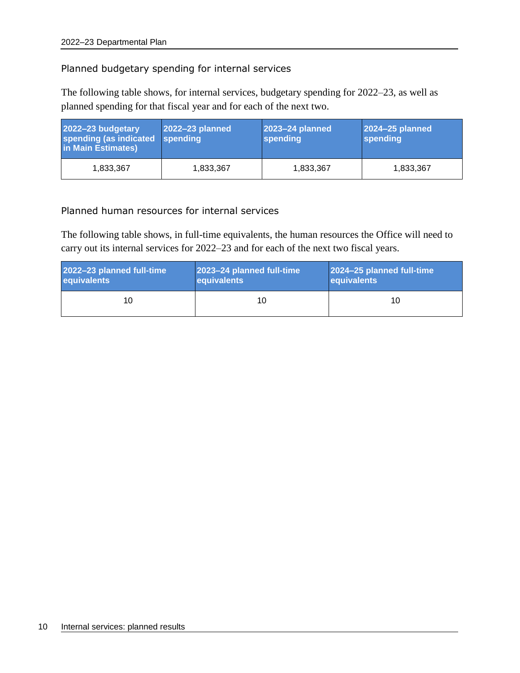#### Planned budgetary spending for internal services

The following table shows, for internal services, budgetary spending for 2022–23, as well as planned spending for that fiscal year and for each of the next two.

| 2022-23 budgetary<br>spending (as indicated<br>in Main Estimates) | 2022-23 planned<br>spending | 2023-24 planned<br>spending | 2024-25 planned<br>spending |
|-------------------------------------------------------------------|-----------------------------|-----------------------------|-----------------------------|
| 1.833.367                                                         | 1.833.367                   | 1,833,367                   | 1,833,367                   |

Planned human resources for internal services

The following table shows, in full-time equivalents, the human resources the Office will need to carry out its internal services for 2022–23 and for each of the next two fiscal years.

| 2022-23 planned full-time | 2023-24 planned full-time | 2024-25 planned full-time |  |
|---------------------------|---------------------------|---------------------------|--|
| equivalents               | equivalents               | equivalents               |  |
| 10                        | 10                        | 10                        |  |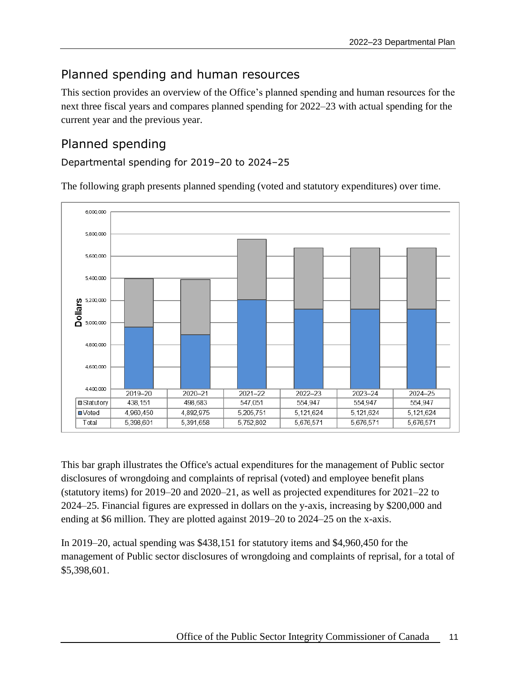# <span id="page-14-0"></span>Planned spending and human resources

This section provides an overview of the Office's planned spending and human resources for the next three fiscal years and compares planned spending for 2022–23 with actual spending for the current year and the previous year.

# <span id="page-14-1"></span>Planned spending

Departmental spending for 2019–20 to 2024–25

The following graph presents planned spending (voted and statutory expenditures) over time.



This bar graph illustrates the Office's actual expenditures for the management of Public sector disclosures of wrongdoing and complaints of reprisal (voted) and employee benefit plans (statutory items) for 2019–20 and 2020–21, as well as projected expenditures for 2021–22 to 2024–25. Financial figures are expressed in dollars on the y-axis, increasing by \$200,000 and ending at \$6 million. They are plotted against 2019–20 to 2024–25 on the x-axis.

In 2019–20, actual spending was \$438,151 for statutory items and \$4,960,450 for the management of Public sector disclosures of wrongdoing and complaints of reprisal, for a total of \$5,398,601.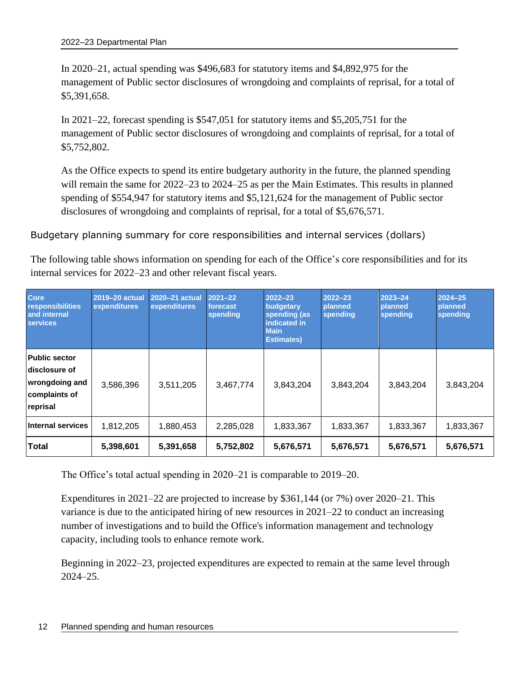In 2020–21, actual spending was \$496,683 for statutory items and \$4,892,975 for the management of Public sector disclosures of wrongdoing and complaints of reprisal, for a total of \$5,391,658.

In 2021–22, forecast spending is \$547,051 for statutory items and \$5,205,751 for the management of Public sector disclosures of wrongdoing and complaints of reprisal, for a total of \$5,752,802.

As the Office expects to spend its entire budgetary authority in the future, the planned spending will remain the same for 2022–23 to 2024–25 as per the Main Estimates. This results in planned spending of \$554,947 for statutory items and \$5,121,624 for the management of Public sector disclosures of wrongdoing and complaints of reprisal, for a total of \$5,676,571.

Budgetary planning summary for core responsibilities and internal services (dollars)

The following table shows information on spending for each of the Office's core responsibilities and for its internal services for 2022–23 and other relevant fiscal years.

| <b>Core</b><br>responsibilities<br>and internal<br><b>services</b>                   | 2019-20 actual<br>expenditures | 2020-21 actual<br>expenditures | $2021 - 22$<br>forecast<br>spending | $2022 - 23$<br>budgetary<br>spending (as<br>indicated in<br><b>Main</b><br><b>Estimates)</b> | $2022 - 23$<br>planned<br>spending | 2023-24<br>planned<br>spending | $2024 - 25$<br>planned<br>spending |
|--------------------------------------------------------------------------------------|--------------------------------|--------------------------------|-------------------------------------|----------------------------------------------------------------------------------------------|------------------------------------|--------------------------------|------------------------------------|
| <b>Public sector</b><br>disclosure of<br>wrongdoing and<br>complaints of<br>reprisal | 3,586,396                      | 3,511,205                      | 3,467,774                           | 3,843,204                                                                                    | 3,843,204                          | 3,843,204                      | 3,843,204                          |
| <b>Internal services</b>                                                             | 1,812,205                      | 1,880,453                      | 2,285,028                           | 1,833,367                                                                                    | 1,833,367                          | 1,833,367                      | 1,833,367                          |
| Total                                                                                | 5,398,601                      | 5,391,658                      | 5,752,802                           | 5,676,571                                                                                    | 5,676,571                          | 5,676,571                      | 5,676,571                          |

The Office's total actual spending in 2020–21 is comparable to 2019–20.

Expenditures in 2021–22 are projected to increase by \$361,144 (or 7%) over 2020–21. This variance is due to the anticipated hiring of new resources in 2021–22 to conduct an increasing number of investigations and to build the Office's information management and technology capacity, including tools to enhance remote work.

Beginning in 2022–23, projected expenditures are expected to remain at the same level through 2024–25.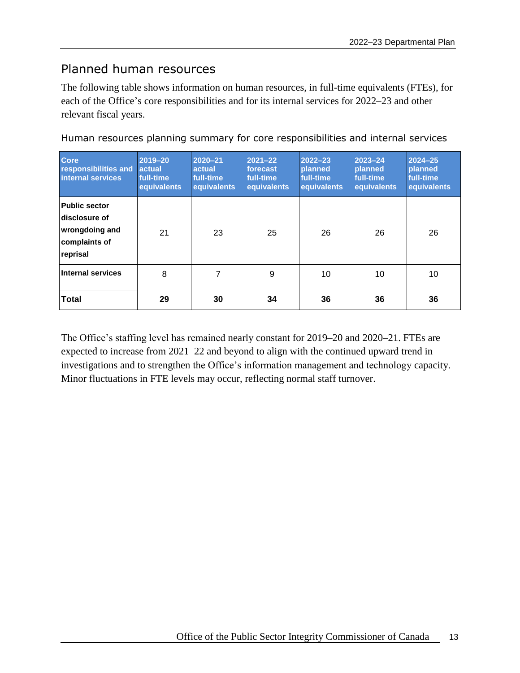## <span id="page-16-0"></span>Planned human resources

The following table shows information on human resources, in full-time equivalents (FTEs), for each of the Office's core responsibilities and for its internal services for 2022–23 and other relevant fiscal years.

| Core<br>responsibilities and<br>internal services                                    | $2019 - 20$<br>actual<br>full-time<br>equivalents | $2020 - 21$<br>actual<br>full-time<br>equivalents | $2021 - 22$<br>forecast<br>full-time<br>equivalents | $2022 - 23$<br>planned<br>full-time<br>equivalents | $2023 - 24$<br>planned<br>full-time<br>equivalents | $2024 - 25$<br>planned<br>full-time<br>equivalents |
|--------------------------------------------------------------------------------------|---------------------------------------------------|---------------------------------------------------|-----------------------------------------------------|----------------------------------------------------|----------------------------------------------------|----------------------------------------------------|
| <b>Public sector</b><br>disclosure of<br>wrongdoing and<br>complaints of<br>reprisal | 21                                                | 23                                                | 25                                                  | 26                                                 | 26                                                 | 26                                                 |
| Internal services                                                                    | 8                                                 | 7                                                 | 9                                                   | 10                                                 | 10                                                 | 10                                                 |
| Total                                                                                | 29                                                | 30                                                | 34                                                  | 36                                                 | 36                                                 | 36                                                 |

Human resources planning summary for core responsibilities and internal services

The Office's staffing level has remained nearly constant for 2019–20 and 2020–21. FTEs are expected to increase from 2021–22 and beyond to align with the continued upward trend in investigations and to strengthen the Office's information management and technology capacity. Minor fluctuations in FTE levels may occur, reflecting normal staff turnover.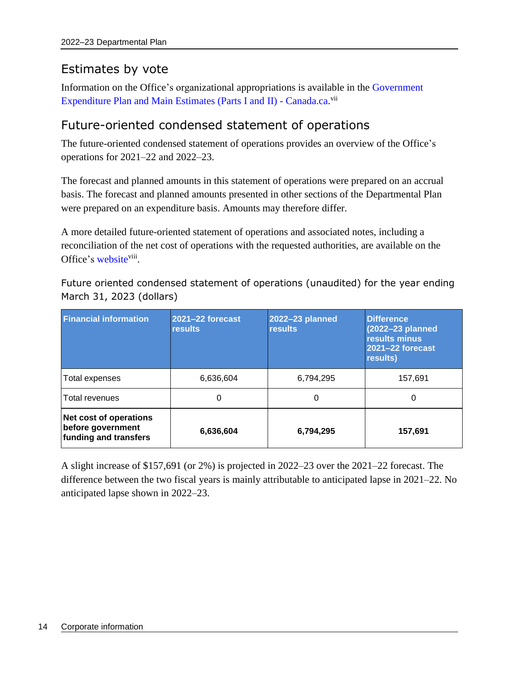# <span id="page-17-0"></span>Estimates by vote

Information on the Office's organizational appropriations is available in the [Government](https://www.canada.ca/en/treasury-board-secretariat/services/planned-government-spending/government-expenditure-plan-main-estimates.html)  [Expenditure Plan and Main Estimates \(Parts I and](https://www.canada.ca/en/treasury-board-secretariat/services/planned-government-spending/government-expenditure-plan-main-estimates.html) II) - Canad[a.](http://www.tpsgc-pwgsc.gc.ca/recgen/cpc-pac/index-eng.html)ca.<sup>vii</sup>

# <span id="page-17-1"></span>Future-oriented condensed statement of operations

The future-oriented condensed statement of operations provides an overview of the Office's operations for 2021–22 and 2022–23.

The forecast and planned amounts in this statement of operations were prepared on an accrual basis. The forecast and planned amounts presented in other sections of the Departmental Plan were prepared on an expenditure basis. Amounts may therefore differ.

A more detailed future-oriented statement of operations and associated notes, including a reconciliation of the net cost of operations with the requested authorities, are available on the Office's [website](https://www.psic-ispc.gc.ca/en/resources/corporate-publications/2022-23/departmental-plan/future-oriented-statement-of-operations)<sup>viii</sup>.

Future oriented condensed statement of operations (unaudited) for the year ending March 31, 2023 (dollars)

| <b>Financial information</b>                                                | 2021-22 forecast<br><b>results</b> | 2022-23 planned<br><b>results</b> | <b>Difference</b><br>(2022-23 planned<br>results minus<br>2021-22 forecast<br>results) |
|-----------------------------------------------------------------------------|------------------------------------|-----------------------------------|----------------------------------------------------------------------------------------|
| Total expenses                                                              | 6,636,604                          | 6,794,295                         | 157,691                                                                                |
| Total revenues                                                              | 0                                  | 0                                 | 0                                                                                      |
| <b>Net cost of operations</b><br>before government<br>funding and transfers | 6,636,604                          | 6,794,295                         | 157,691                                                                                |

A slight increase of \$157,691 (or 2%) is projected in 2022–23 over the 2021–22 forecast. The difference between the two fiscal years is mainly attributable to anticipated lapse in 2021–22. No anticipated lapse shown in 2022–23.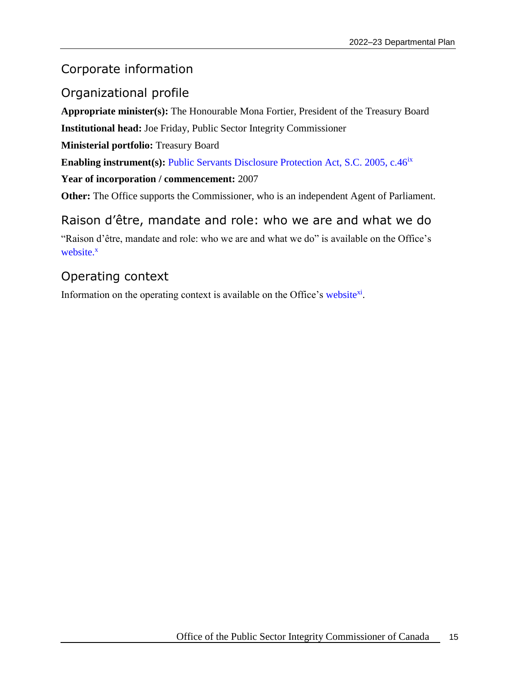## <span id="page-18-0"></span>Corporate information

## <span id="page-18-1"></span>Organizational profile

**Appropriate minister(s):** The Honourable Mona Fortier, President of the Treasury Board

**Institutional head:** Joe Friday, Public Sector Integrity Commissioner

**Ministerial portfolio:** Treasury Board

**Enabling instrument(s):** [Public Servants Disclosure Protection Act, S.C. 2005, c.46](https://laws-lois.justice.gc.ca/eng/acts/p-31.9/)<sup>ix</sup>

**Year of incorporation / commencement:** 2007

**Other:** The Office supports the Commissioner, who is an independent Agent of Parliament.

## <span id="page-18-2"></span>Raison d'être, mandate and role: who we are and what we do

"Raison d'être, mandate and role: who we are and what we do" is available on the Office's [website.](https://www.psic-ispc.gc.ca/en/resources/corporate-publications/corporate-information)<sup>x</sup>

# <span id="page-18-3"></span>Operating context

Information on the operating context is available on the Office's [website](https://www.psic-ispc.gc.ca/en/resources/corporate-publications/corporate-information)<sup>xi</sup>.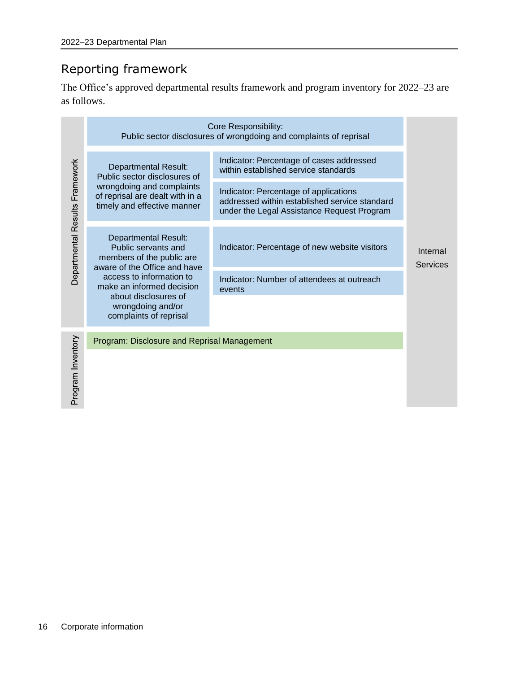# <span id="page-19-0"></span>Reporting framework

The Office's approved departmental results framework and program inventory for 2022–23 are as follows.

|                                | Core Responsibility:<br>Public sector disclosures of wrongdoing and complaints of reprisal                                         |                                                                                                                                      |                             |  |  |
|--------------------------------|------------------------------------------------------------------------------------------------------------------------------------|--------------------------------------------------------------------------------------------------------------------------------------|-----------------------------|--|--|
|                                | <b>Departmental Result:</b><br>Public sector disclosures of                                                                        | Indicator: Percentage of cases addressed<br>within established service standards                                                     |                             |  |  |
|                                | wrongdoing and complaints<br>of reprisal are dealt with in a<br>timely and effective manner                                        | Indicator: Percentage of applications<br>addressed within established service standard<br>under the Legal Assistance Request Program |                             |  |  |
| Departmental Results Framework | <b>Departmental Result:</b><br>Public servants and<br>members of the public are                                                    | Indicator: Percentage of new website visitors                                                                                        | Internal<br><b>Services</b> |  |  |
|                                | aware of the Office and have<br>access to information to<br>make an informed decision<br>about disclosures of<br>wrongdoing and/or | Indicator: Number of attendees at outreach<br>events                                                                                 |                             |  |  |
|                                | complaints of reprisal<br>Program: Disclosure and Reprisal Management                                                              |                                                                                                                                      |                             |  |  |
| Program Inventory              |                                                                                                                                    |                                                                                                                                      |                             |  |  |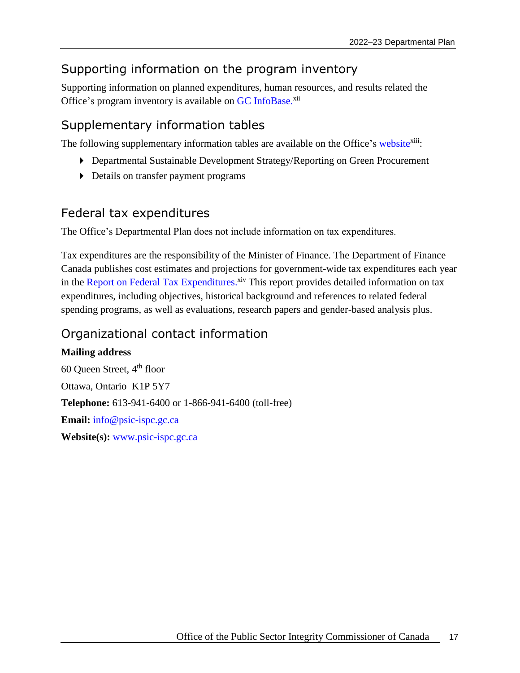## <span id="page-20-0"></span>Supporting information on the program inventory

Supporting information on planned expenditures, human resources, and results related the Office's program inventory is available on GC [InfoBase.](https://www.tbs-sct.gc.ca/ems-sgd/edb-bdd/index-eng.html)<sup>xii</sup>

## <span id="page-20-1"></span>Supplementary information tables

The following supplementary information tables are available on the Office's [website](https://www.psic-ispc.gc.ca/en/resources/corporate-publications/2022-23/departmental-plan/supplementary-information-tables)<sup>xiii</sup>:

- Departmental Sustainable Development Strategy/Reporting on Green Procurement
- Details on transfer payment programs

## <span id="page-20-2"></span>Federal tax expenditures

The Office's Departmental Plan does not include information on tax expenditures.

Tax expenditures are the responsibility of the Minister of Finance. The Department of Finance Canada publishes cost estimates and projections for government-wide tax expenditures each year in the [Report on Federal Tax Expenditures.](https://www.canada.ca/en/department-finance/services/publications/federal-tax-expenditures.html)<sup>xiv</sup> This report provides detailed information on tax expenditures, including objectives, historical background and references to related federal spending programs, as well as evaluations, research papers and gender-based analysis plus.

# <span id="page-20-3"></span>Organizational contact information

**Mailing address** 60 Queen Street, 4th floor Ottawa, Ontario K1P 5Y7 **Telephone:** 613-941-6400 or 1-866-941-6400 (toll-free) **Email:** [info@psic-ispc.gc.ca](mailto:info@psic-ispc.gc.ca)  **Website(s):** [www.psic-ispc.gc.ca](http://www.psic-ispc.gc.ca/)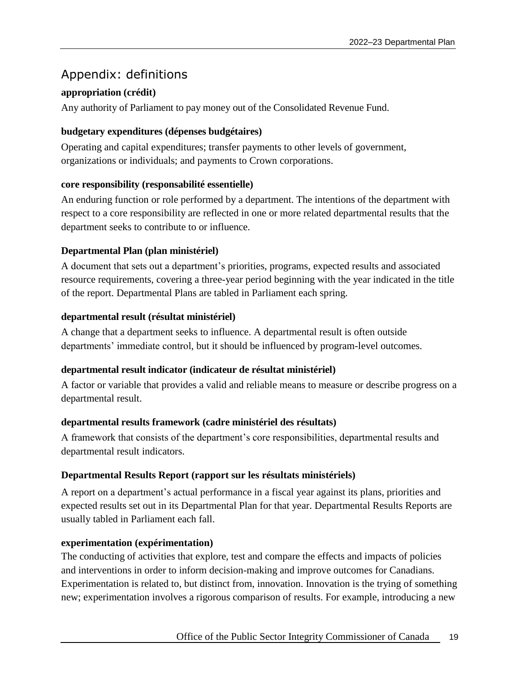## <span id="page-22-0"></span>Appendix: definitions

### **appropriation (crédit)**

Any authority of Parliament to pay money out of the Consolidated Revenue Fund.

### **budgetary expenditures (dépenses budgétaires)**

Operating and capital expenditures; transfer payments to other levels of government, organizations or individuals; and payments to Crown corporations.

### **core responsibility (responsabilité essentielle)**

An enduring function or role performed by a department. The intentions of the department with respect to a core responsibility are reflected in one or more related departmental results that the department seeks to contribute to or influence.

### **Departmental Plan (plan ministériel)**

A document that sets out a department's priorities, programs, expected results and associated resource requirements, covering a three-year period beginning with the year indicated in the title of the report. Departmental Plans are tabled in Parliament each spring.

### **departmental result (résultat ministériel)**

A change that a department seeks to influence. A departmental result is often outside departments' immediate control, but it should be influenced by program-level outcomes.

## **departmental result indicator (indicateur de résultat ministériel)**

A factor or variable that provides a valid and reliable means to measure or describe progress on a departmental result.

### **departmental results framework (cadre ministériel des résultats)**

A framework that consists of the department's core responsibilities, departmental results and departmental result indicators.

## **Departmental Results Report (rapport sur les résultats ministériels)**

A report on a department's actual performance in a fiscal year against its plans, priorities and expected results set out in its Departmental Plan for that year. Departmental Results Reports are usually tabled in Parliament each fall.

### **experimentation (expérimentation)**

The conducting of activities that explore, test and compare the effects and impacts of policies and interventions in order to inform decision-making and improve outcomes for Canadians. Experimentation is related to, but distinct from, innovation. Innovation is the trying of something new; experimentation involves a rigorous comparison of results. For example, introducing a new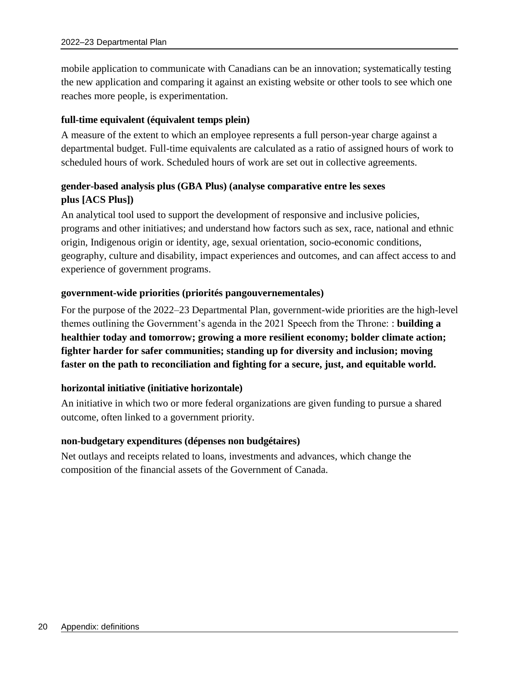mobile application to communicate with Canadians can be an innovation; systematically testing the new application and comparing it against an existing website or other tools to see which one reaches more people, is experimentation.

#### **full-time equivalent (équivalent temps plein)**

A measure of the extent to which an employee represents a full person-year charge against a departmental budget. Full-time equivalents are calculated as a ratio of assigned hours of work to scheduled hours of work. Scheduled hours of work are set out in collective agreements.

## **gender-based analysis plus (GBA Plus) (analyse comparative entre les sexes plus [ACS Plus])**

An analytical tool used to support the development of responsive and inclusive policies, programs and other initiatives; and understand how factors such as sex, race, national and ethnic origin, Indigenous origin or identity, age, sexual orientation, socio-economic conditions, geography, culture and disability, impact experiences and outcomes, and can affect access to and experience of government programs.

#### **government-wide priorities (priorités pangouvernementales)**

For the purpose of the 2022–23 Departmental Plan, government-wide priorities are the high-level themes outlining the Government's agenda in the 2021 Speech from the Throne: : **building a healthier today and tomorrow; growing a more resilient economy; bolder climate action; fighter harder for safer communities; standing up for diversity and inclusion; moving faster on the path to reconciliation and fighting for a secure, just, and equitable world.**

### **horizontal initiative (initiative horizontale)**

An initiative in which two or more federal organizations are given funding to pursue a shared outcome, often linked to a government priority.

#### **non-budgetary expenditures (dépenses non budgétaires)**

Net outlays and receipts related to loans, investments and advances, which change the composition of the financial assets of the Government of Canada.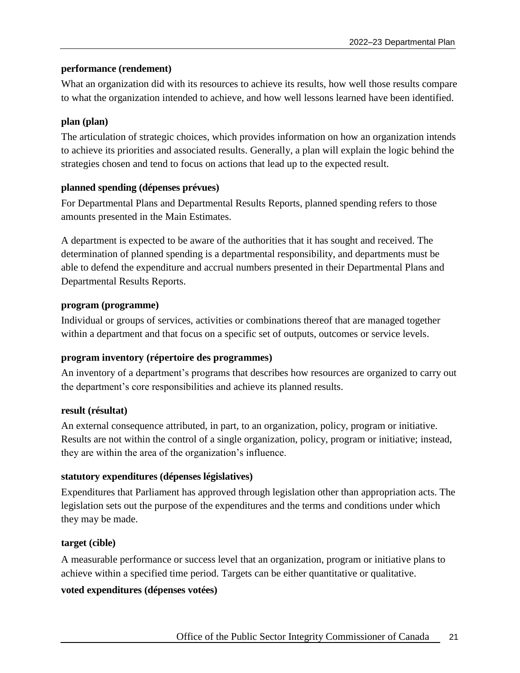#### **performance (rendement)**

What an organization did with its resources to achieve its results, how well those results compare to what the organization intended to achieve, and how well lessons learned have been identified.

#### **plan (plan)**

The articulation of strategic choices, which provides information on how an organization intends to achieve its priorities and associated results. Generally, a plan will explain the logic behind the strategies chosen and tend to focus on actions that lead up to the expected result.

### **planned spending (dépenses prévues)**

For Departmental Plans and Departmental Results Reports, planned spending refers to those amounts presented in the Main Estimates.

A department is expected to be aware of the authorities that it has sought and received. The determination of planned spending is a departmental responsibility, and departments must be able to defend the expenditure and accrual numbers presented in their Departmental Plans and Departmental Results Reports.

#### **program (programme)**

Individual or groups of services, activities or combinations thereof that are managed together within a department and that focus on a specific set of outputs, outcomes or service levels.

### **program inventory (répertoire des programmes)**

An inventory of a department's programs that describes how resources are organized to carry out the department's core responsibilities and achieve its planned results.

#### **result (résultat)**

An external consequence attributed, in part, to an organization, policy, program or initiative. Results are not within the control of a single organization, policy, program or initiative; instead, they are within the area of the organization's influence.

### **statutory expenditures (dépenses législatives)**

Expenditures that Parliament has approved through legislation other than appropriation acts. The legislation sets out the purpose of the expenditures and the terms and conditions under which they may be made.

### **target (cible)**

A measurable performance or success level that an organization, program or initiative plans to achieve within a specified time period. Targets can be either quantitative or qualitative.

#### **voted expenditures (dépenses votées)**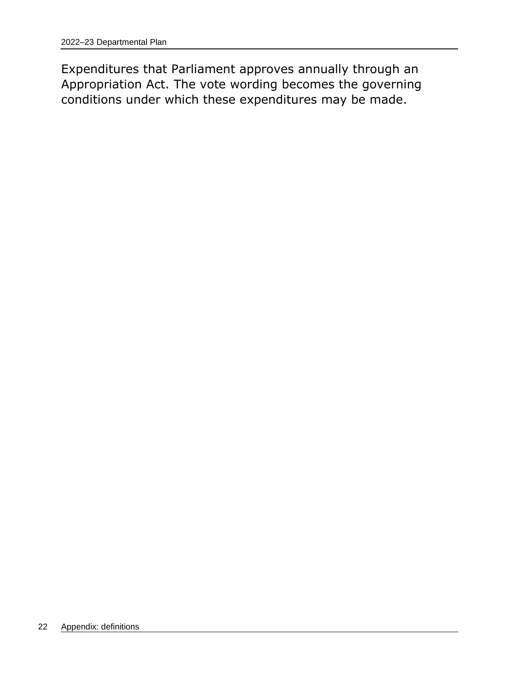Expenditures that Parliament approves annually through an Appropriation Act. The vote wording becomes the governing conditions under which these expenditures may be made.